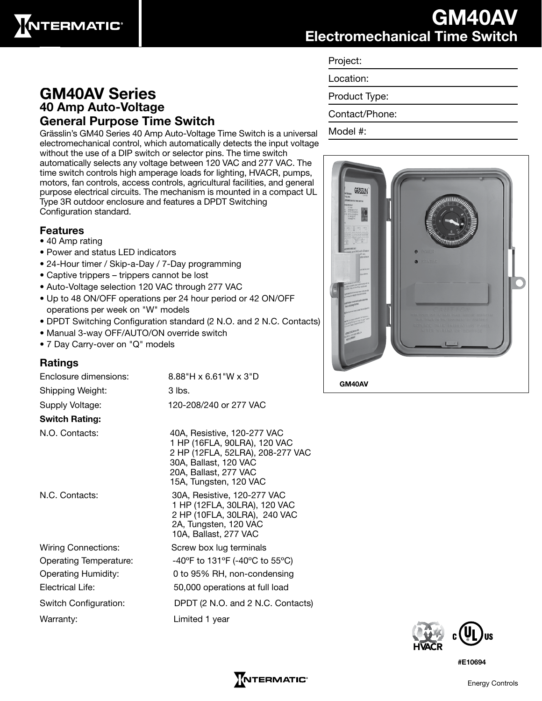

GM40AV Series 40 Amp Auto-Voltage Project:

Location:

Product Type:

Contact/Phone:

General Purpose Time Switch Grässlin's GM40 Series 40 Amp Auto-Voltage Time Switch is a universal electromechanical control, which automatically detects the input voltage without the use of a DIP switch or selector pins. The time switch

automatically selects any voltage between 120 VAC and 277 VAC. The time switch controls high amperage loads for lighting, HVACR, pumps, motors, fan controls, access controls, agricultural facilities, and general purpose electrical circuits. The mechanism is mounted in a compact UL Type 3R outdoor enclosure and features a DPDT Switching Configuration standard.

## Features

- 40 Amp rating
- Power and status LED indicators
- 24-Hour timer / Skip-a-Day / 7-Day programming
- Captive trippers trippers cannot be lost
- Auto-Voltage selection 120 VAC through 277 VAC
- Up to 48 ON/OFF operations per 24 hour period or 42 ON/OFF operations per week on "W" models
- DPDT Switching Configuration standard (2 N.O. and 2 N.C. Contacts)
- Manual 3-way OFF/AUTO/ON override switch
- 7 Day Carry-over on "Q" models

## Ratings

| Enclosure dimensions:         | 8.88"H x 6.61"W x 3"D                                                                                                                                                       |  |  |
|-------------------------------|-----------------------------------------------------------------------------------------------------------------------------------------------------------------------------|--|--|
| Shipping Weight:              | 3 lbs.                                                                                                                                                                      |  |  |
| Supply Voltage:               | 120-208/240 or 277 VAC                                                                                                                                                      |  |  |
| <b>Switch Rating:</b>         |                                                                                                                                                                             |  |  |
| N.O. Contacts:                | 40A, Resistive, 120-277 VAC<br>1 HP (16FLA, 90LRA), 120 VAC<br>2 HP (12FLA, 52LRA), 208-277 VAC<br>30A, Ballast, 120 VAC<br>20A, Ballast, 277 VAC<br>15A, Tungsten, 120 VAC |  |  |
| N.C. Contacts:                | 30A, Resistive, 120-277 VAC<br>1 HP (12FLA, 30LRA), 120 VAC<br>2 HP (10FLA, 30LRA), 240 VAC<br>2A, Tungsten, 120 VAC<br>10A, Ballast, 277 VAC                               |  |  |
| <b>Wiring Connections:</b>    | Screw box lug terminals                                                                                                                                                     |  |  |
| <b>Operating Temperature:</b> | -40°F to 131°F (-40°C to 55°C)                                                                                                                                              |  |  |
| <b>Operating Humidity:</b>    | 0 to 95% RH, non-condensing                                                                                                                                                 |  |  |
| Electrical Life:              | 50,000 operations at full load                                                                                                                                              |  |  |
| Switch Configuration:         | DPDT (2 N.O. and 2 N.C. Contacts)                                                                                                                                           |  |  |
| Warranty:                     | Limited 1 year                                                                                                                                                              |  |  |

Model #:





#E10694